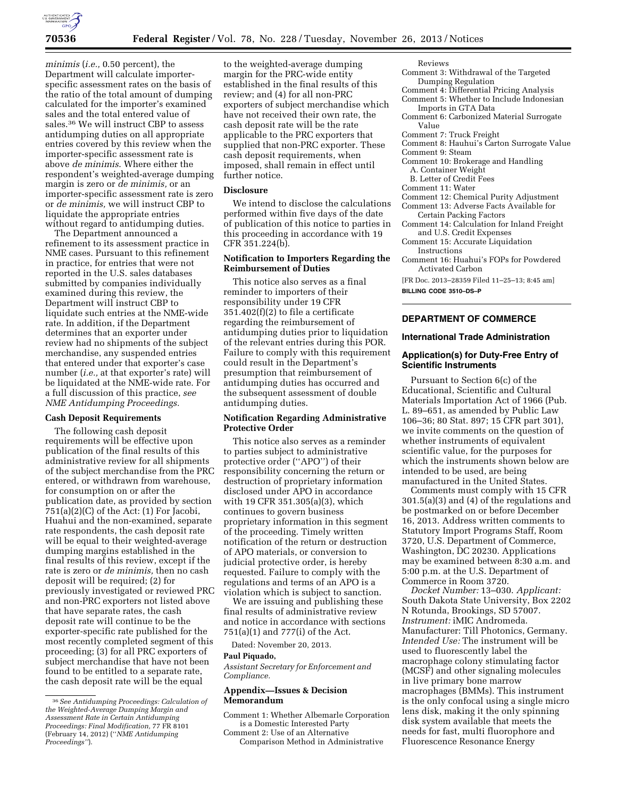

*minimis* (*i.e.,* 0.50 percent), the Department will calculate importerspecific assessment rates on the basis of the ratio of the total amount of dumping calculated for the importer's examined sales and the total entered value of sales.36 We will instruct CBP to assess antidumping duties on all appropriate entries covered by this review when the importer-specific assessment rate is above *de minimis*. Where either the respondent's weighted-average dumping margin is zero or *de minimis,* or an importer-specific assessment rate is zero or *de minimis,* we will instruct CBP to liquidate the appropriate entries without regard to antidumping duties.

The Department announced a refinement to its assessment practice in NME cases. Pursuant to this refinement in practice, for entries that were not reported in the U.S. sales databases submitted by companies individually examined during this review, the Department will instruct CBP to liquidate such entries at the NME-wide rate. In addition, if the Department determines that an exporter under review had no shipments of the subject merchandise, any suspended entries that entered under that exporter's case number (*i.e.,* at that exporter's rate) will be liquidated at the NME-wide rate. For a full discussion of this practice, *see NME Antidumping Proceedings.* 

### **Cash Deposit Requirements**

The following cash deposit requirements will be effective upon publication of the final results of this administrative review for all shipments of the subject merchandise from the PRC entered, or withdrawn from warehouse, for consumption on or after the publication date, as provided by section  $751(a)(2)(C)$  of the Act:  $(1)$  For Jacobi, Huahui and the non-examined, separate rate respondents, the cash deposit rate will be equal to their weighted-average dumping margins established in the final results of this review, except if the rate is zero or *de minimis,* then no cash deposit will be required; (2) for previously investigated or reviewed PRC and non-PRC exporters not listed above that have separate rates, the cash deposit rate will continue to be the exporter-specific rate published for the most recently completed segment of this proceeding; (3) for all PRC exporters of subject merchandise that have not been found to be entitled to a separate rate, the cash deposit rate will be the equal

to the weighted-average dumping margin for the PRC-wide entity established in the final results of this review; and (4) for all non-PRC exporters of subject merchandise which have not received their own rate, the cash deposit rate will be the rate applicable to the PRC exporters that supplied that non-PRC exporter. These cash deposit requirements, when imposed, shall remain in effect until further notice.

#### **Disclosure**

We intend to disclose the calculations performed within five days of the date of publication of this notice to parties in this proceeding in accordance with 19 CFR 351.224(b).

## **Notification to Importers Regarding the Reimbursement of Duties**

This notice also serves as a final reminder to importers of their responsibility under 19 CFR 351.402(f)(2) to file a certificate regarding the reimbursement of antidumping duties prior to liquidation of the relevant entries during this POR. Failure to comply with this requirement could result in the Department's presumption that reimbursement of antidumping duties has occurred and the subsequent assessment of double antidumping duties.

## **Notification Regarding Administrative Protective Order**

This notice also serves as a reminder to parties subject to administrative protective order (''APO'') of their responsibility concerning the return or destruction of proprietary information disclosed under APO in accordance with 19 CFR 351.305(a)(3), which continues to govern business proprietary information in this segment of the proceeding. Timely written notification of the return or destruction of APO materials, or conversion to judicial protective order, is hereby requested. Failure to comply with the regulations and terms of an APO is a violation which is subject to sanction.

We are issuing and publishing these final results of administrative review and notice in accordance with sections 751(a)(1) and 777(i) of the Act.

Dated: November 20, 2013.

### **Paul Piquado,**

*Assistant Secretary for Enforcement and Compliance.* 

## **Appendix—Issues & Decision Memorandum**

Comment 1: Whether Albemarle Corporation is a Domestic Interested Party

Comment 2: Use of an Alternative Comparison Method in Administrative Reviews

- Comment 3: Withdrawal of the Targeted Dumping Regulation
- Comment 4: Differential Pricing Analysis Comment 5: Whether to Include Indonesian
- Imports in GTA Data
- Comment 6: Carbonized Material Surrogate Value
- Comment 7: Truck Freight
- Comment 8: Hauhui's Carton Surrogate Value
- Comment 9: Steam
- Comment 10: Brokerage and Handling
- A. Container Weight
- B. Letter of Credit Fees
- Comment 11: Water
- Comment 12: Chemical Purity Adjustment
- Comment 13: Adverse Facts Available for Certain Packing Factors
- Comment 14: Calculation for Inland Freight and U.S. Credit Expenses
- Comment 15: Accurate Liquidation Instructions
- Comment 16: Huahui's FOPs for Powdered Activated Carbon

[FR Doc. 2013–28359 Filed 11–25–13; 8:45 am]

**BILLING CODE 3510–DS–P** 

## **DEPARTMENT OF COMMERCE**

### **International Trade Administration**

## **Application(s) for Duty-Free Entry of Scientific Instruments**

Pursuant to Section 6(c) of the Educational, Scientific and Cultural Materials Importation Act of 1966 (Pub. L. 89–651, as amended by Public Law 106–36; 80 Stat. 897; 15 CFR part 301), we invite comments on the question of whether instruments of equivalent scientific value, for the purposes for which the instruments shown below are intended to be used, are being manufactured in the United States.

Comments must comply with 15 CFR 301.5(a)(3) and (4) of the regulations and be postmarked on or before December 16, 2013. Address written comments to Statutory Import Programs Staff, Room 3720, U.S. Department of Commerce, Washington, DC 20230. Applications may be examined between 8:30 a.m. and 5:00 p.m. at the U.S. Department of Commerce in Room 3720.

*Docket Number:* 13–030. *Applicant:*  South Dakota State University, Box 2202 N Rotunda, Brookings, SD 57007. *Instrument:* iMIC Andromeda. Manufacturer: Till Photonics, Germany. *Intended Use:* The instrument will be used to fluorescently label the macrophage colony stimulating factor (MCSF) and other signaling molecules in live primary bone marrow macrophages (BMMs). This instrument is the only confocal using a single micro lens disk, making it the only spinning disk system available that meets the needs for fast, multi fluorophore and Fluorescence Resonance Energy

<sup>36</sup>*See Antidumping Proceedings: Calculation of the Weighted-Average Dumping Margin and Assessment Rate in Certain Antidumping Proceedings: Final Modification,* 77 FR 8101 (February 14, 2012) (''*NME Antidumping Proceedings''*).